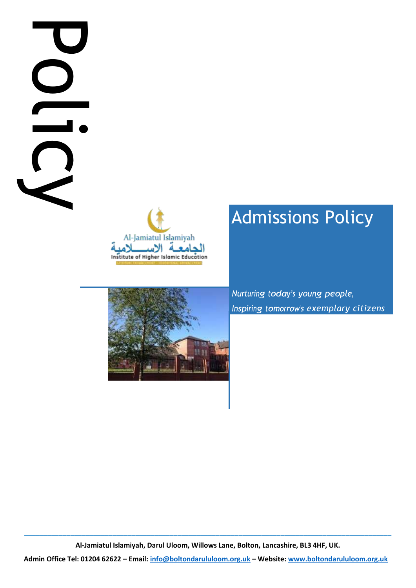# **Administrational Email:**<br>
Administrational Computer Telescope<br>
Administrational Computer Computer Computer Computer Computer Computer Computer Computer Computer Computer Computer Computer Computer Computer Computer Comput



# Admissions Policy

*Inspiring tomorrow's exemplary citizens* 



**\_\_\_\_\_\_\_\_\_\_\_\_\_\_\_\_\_\_\_\_\_\_\_\_\_\_\_\_\_\_\_\_\_\_\_\_\_\_\_\_\_\_\_\_\_\_\_\_\_\_\_\_\_\_\_\_\_\_\_\_\_\_\_\_\_\_\_\_\_\_\_\_\_\_\_\_\_\_\_\_\_\_\_\_\_\_\_\_\_\_\_\_\_\_\_\_ Al-Jamiatul Islamiyah, Darul Uloom, Willows Lane, Bolton, Lancashire, BL3 4HF, UK.**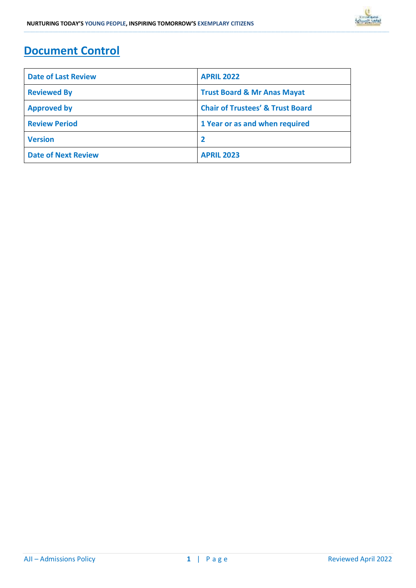## **Document Control**

| <b>Date of Last Review</b> | <b>APRIL 2022</b>                           |  |
|----------------------------|---------------------------------------------|--|
| <b>Reviewed By</b>         | <b>Trust Board &amp; Mr Anas Mayat</b>      |  |
| <b>Approved by</b>         | <b>Chair of Trustees' &amp; Trust Board</b> |  |
| <b>Review Period</b>       | 1 Year or as and when required              |  |
| <b>Version</b>             |                                             |  |
| <b>Date of Next Review</b> | <b>APRIL 2023</b>                           |  |

**\_\_\_\_\_\_\_\_\_\_\_\_\_\_\_\_\_\_\_\_\_\_\_\_\_\_\_\_\_\_\_\_\_\_\_\_\_\_\_\_\_\_\_\_\_\_\_\_\_\_\_\_\_\_\_\_\_\_\_\_\_\_\_\_\_\_\_\_\_\_\_\_\_\_\_\_\_\_\_\_\_\_\_\_\_\_\_\_\_\_\_\_\_\_\_\_\_\_\_\_\_\_\_\_\_\_\_\_\_\_\_\_\_\_\_\_\_\_\_\_\_\_\_\_\_\_\_\_\_\_\_\_\_\_\_\_\_\_\_\_\_\_\_\_\_\_\_\_\_\_\_\_\_\_\_\_\_\_\_\_\_\_\_\_\_\_\_\_\_\_\_\_\_\_\_\_\_\_\_\_\_\_\_\_\_\_\_\_\_\_\_\_\_\_\_\_\_\_\_\_\_\_\_\_\_\_\_\_\_\_\_\_\_\_\_\_\_\_\_\_\_\_\_\_\_\_\_\_\_\_\_\_\_\_\_\_\_\_\_\_\_\_\_\_\_\_\_\_\_\_\_\_\_\_\_\_\_\_\_\_\_\_\_\_\_\_\_\_\_\_\_\_\_\_\_\_\_\_\_\_\_\_\_\_\_\_\_\_\_\_\_\_\_\_\_\_\_\_\_\_\_\_\_\_\_\_\_\_\_\_\_\_\_\_\_\_\_\_\_\_\_\_\_\_\_\_\_\_\_\_\_\_\_\_\_\_\_\_\_\_\_\_\_\_\_\_\_\_\_\_**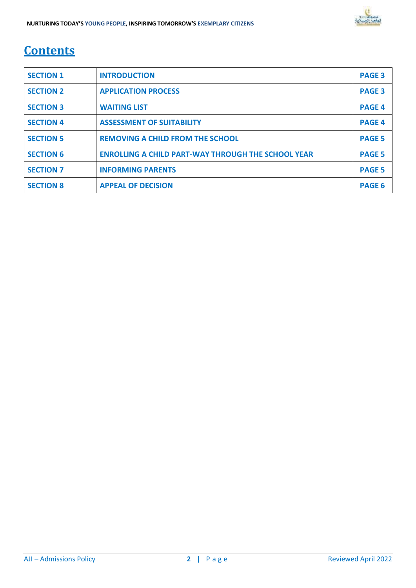# **Contents**

| <b>SECTION 1</b> | <b>INTRODUCTION</b>                                       | <b>PAGE 3</b> |
|------------------|-----------------------------------------------------------|---------------|
| <b>SECTION 2</b> | <b>APPLICATION PROCESS</b>                                | <b>PAGE 3</b> |
| <b>SECTION 3</b> | <b>WAITING LIST</b>                                       | <b>PAGE 4</b> |
| <b>SECTION 4</b> | <b>ASSESSMENT OF SUITABILITY</b>                          | <b>PAGE 4</b> |
| <b>SECTION 5</b> | <b>REMOVING A CHILD FROM THE SCHOOL</b>                   | <b>PAGE 5</b> |
| <b>SECTION 6</b> | <b>ENROLLING A CHILD PART-WAY THROUGH THE SCHOOL YEAR</b> | <b>PAGE 5</b> |
| <b>SECTION 7</b> | <b>INFORMING PARENTS</b>                                  | <b>PAGE 5</b> |
| <b>SECTION 8</b> | <b>APPEAL OF DECISION</b>                                 | <b>PAGE 6</b> |

**\_\_\_\_\_\_\_\_\_\_\_\_\_\_\_\_\_\_\_\_\_\_\_\_\_\_\_\_\_\_\_\_\_\_\_\_\_\_\_\_\_\_\_\_\_\_\_\_\_\_\_\_\_\_\_\_\_\_\_\_\_\_\_\_\_\_\_\_\_\_\_\_\_\_\_\_\_\_\_\_\_\_\_\_\_\_\_\_\_\_\_\_\_\_\_\_\_\_\_\_\_\_\_\_\_\_\_\_\_\_\_\_\_\_\_\_\_\_\_\_\_\_\_\_\_\_\_\_\_\_\_\_\_\_\_\_\_\_\_\_\_\_\_\_\_\_\_\_\_\_\_\_\_\_\_\_\_\_\_\_\_\_\_\_\_\_\_\_\_\_\_\_\_\_\_\_\_\_\_\_\_\_\_\_\_\_\_\_\_\_\_\_\_\_\_\_\_\_\_\_\_\_\_\_\_\_\_\_\_\_\_\_\_\_\_\_\_\_\_\_\_\_\_\_\_\_\_\_\_\_\_\_\_\_\_\_\_\_\_\_\_\_\_\_\_\_\_\_\_\_\_\_\_\_\_\_\_\_\_\_\_\_\_\_\_\_\_\_\_\_\_\_\_\_\_\_\_\_\_\_\_\_\_\_\_\_\_\_\_\_\_\_\_\_\_\_\_\_\_\_\_\_\_\_\_\_\_\_\_\_\_\_\_\_\_\_\_\_\_\_\_\_\_\_\_\_\_\_\_\_\_\_\_\_\_\_\_\_\_\_\_\_\_\_\_\_\_\_\_\_**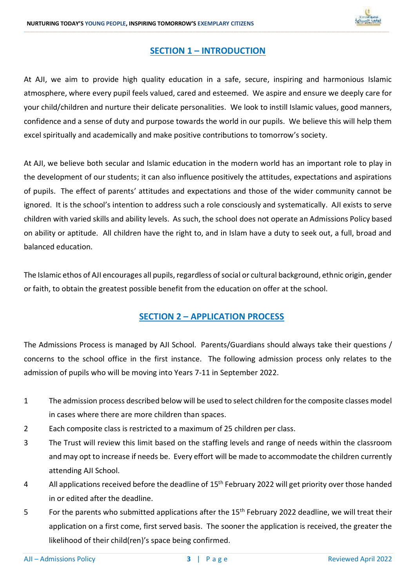

### **SECTION 1 – INTRODUCTION**

**\_\_\_\_\_\_\_\_\_\_\_\_\_\_\_\_\_\_\_\_\_\_\_\_\_\_\_\_\_\_\_\_\_\_\_\_\_\_\_\_\_\_\_\_\_\_\_\_\_\_\_\_\_\_\_\_\_\_\_\_\_\_\_\_\_\_\_\_\_\_\_\_\_\_\_\_\_\_\_\_\_\_\_\_\_\_\_\_\_\_\_\_\_\_\_\_\_\_\_\_\_\_\_\_\_\_\_\_\_\_\_\_\_\_\_\_\_\_\_\_\_\_\_\_\_\_\_\_\_\_\_\_\_\_\_\_\_\_\_\_\_\_\_\_\_\_\_\_\_\_\_\_\_\_\_\_\_\_\_\_\_\_\_\_\_\_\_\_\_\_\_\_\_\_\_\_\_\_\_\_\_\_\_\_\_\_\_\_\_\_\_\_\_\_\_\_\_\_\_\_\_\_\_\_\_\_\_\_\_\_\_\_\_\_\_\_\_\_\_\_\_\_\_\_\_\_\_\_\_\_\_\_\_\_\_\_\_\_\_\_\_\_\_\_\_\_\_\_\_\_\_\_\_\_\_\_\_\_\_\_\_\_\_\_\_\_\_\_\_\_\_\_\_\_\_\_\_\_\_\_\_\_\_\_\_\_\_\_\_\_\_\_\_\_\_\_\_\_\_\_\_\_\_\_\_\_\_\_\_\_\_\_\_\_\_\_\_\_\_\_\_\_\_\_\_\_\_\_\_\_\_\_\_\_\_\_\_\_\_\_\_\_\_\_\_\_\_\_\_\_**

At AJI, we aim to provide high quality education in a safe, secure, inspiring and harmonious Islamic atmosphere, where every pupil feels valued, cared and esteemed. We aspire and ensure we deeply care for your child/children and nurture their delicate personalities. We look to instill Islamic values, good manners, confidence and a sense of duty and purpose towards the world in our pupils. We believe this will help them excel spiritually and academically and make positive contributions to tomorrow's society.

At AJI, we believe both secular and Islamic education in the modern world has an important role to play in the development of our students; it can also influence positively the attitudes, expectations and aspirations of pupils. The effect of parents' attitudes and expectations and those of the wider community cannot be ignored. It is the school's intention to address such a role consciously and systematically. AJI exists to serve children with varied skills and ability levels. As such, the school does not operate an Admissions Policy based on ability or aptitude. All children have the right to, and in Islam have a duty to seek out, a full, broad and balanced education.

The Islamic ethos of AJI encourages all pupils, regardless of social or cultural background, ethnic origin, gender or faith, to obtain the greatest possible benefit from the education on offer at the school.

### **SECTION 2 – APPLICATION PROCESS**

The Admissions Process is managed by AJI School. Parents/Guardians should always take their questions / concerns to the school office in the first instance. The following admission process only relates to the admission of pupils who will be moving into Years 7-11 in September 2022.

- 1 The admission process described below will be used to select children for the composite classes model in cases where there are more children than spaces.
- 2 Each composite class is restricted to a maximum of 25 children per class.
- 3 The Trust will review this limit based on the staffing levels and range of needs within the classroom and may opt to increase if needs be. Every effort will be made to accommodate the children currently attending AJI School.
- 4 All applications received before the deadline of 15<sup>th</sup> February 2022 will get priority over those handed in or edited after the deadline.
- 5 For the parents who submitted applications after the 15<sup>th</sup> February 2022 deadline, we will treat their application on a first come, first served basis. The sooner the application is received, the greater the likelihood of their child(ren)'s space being confirmed.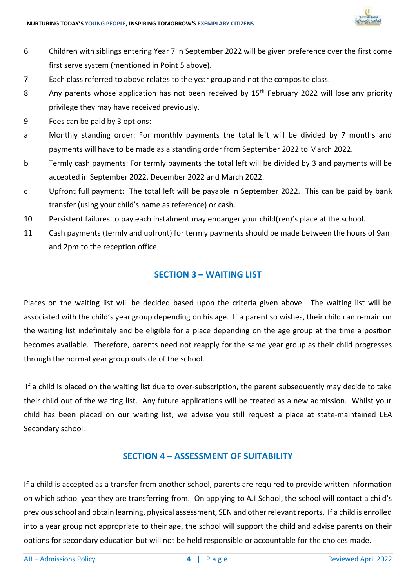

6 Children with siblings entering Year 7 in September 2022 will be given preference over the first come first serve system (mentioned in Point 5 above).

**\_\_\_\_\_\_\_\_\_\_\_\_\_\_\_\_\_\_\_\_\_\_\_\_\_\_\_\_\_\_\_\_\_\_\_\_\_\_\_\_\_\_\_\_\_\_\_\_\_\_\_\_\_\_\_\_\_\_\_\_\_\_\_\_\_\_\_\_\_\_\_\_\_\_\_\_\_\_\_\_\_\_\_\_\_\_\_\_\_\_\_\_\_\_\_\_\_\_\_\_\_\_\_\_\_\_\_\_\_\_\_\_\_\_\_\_\_\_\_\_\_\_\_\_\_\_\_\_\_\_\_\_\_\_\_\_\_\_\_\_\_\_\_\_\_\_\_\_\_\_\_\_\_\_\_\_\_\_\_\_\_\_\_\_\_\_\_\_\_\_\_\_\_\_\_\_\_\_\_\_\_\_\_\_\_\_\_\_\_\_\_\_\_\_\_\_\_\_\_\_\_\_\_\_\_\_\_\_\_\_\_\_\_\_\_\_\_\_\_\_\_\_\_\_\_\_\_\_\_\_\_\_\_\_\_\_\_\_\_\_\_\_\_\_\_\_\_\_\_\_\_\_\_\_\_\_\_\_\_\_\_\_\_\_\_\_\_\_\_\_\_\_\_\_\_\_\_\_\_\_\_\_\_\_\_\_\_\_\_\_\_\_\_\_\_\_\_\_\_\_\_\_\_\_\_\_\_\_\_\_\_\_\_\_\_\_\_\_\_\_\_\_\_\_\_\_\_\_\_\_\_\_\_\_\_\_\_\_\_\_\_\_\_\_\_\_\_\_\_\_**

- 7 Each class referred to above relates to the year group and not the composite class.
- 8 Any parents whose application has not been received by 15<sup>th</sup> February 2022 will lose any priority privilege they may have received previously.
- 9 Fees can be paid by 3 options:
- a Monthly standing order: For monthly payments the total left will be divided by 7 months and payments will have to be made as a standing order from September 2022 to March 2022.
- b Termly cash payments: For termly payments the total left will be divided by 3 and payments will be accepted in September 2022, December 2022 and March 2022.
- c Upfront full payment: The total left will be payable in September 2022. This can be paid by bank transfer (using your child's name as reference) or cash.
- 10 Persistent failures to pay each instalment may endanger your child(ren)'s place at the school.
- 11 Cash payments (termly and upfront) for termly payments should be made between the hours of 9am and 2pm to the reception office.

### **SECTION 3 – WAITING LIST**

Places on the waiting list will be decided based upon the criteria given above. The waiting list will be associated with the child's year group depending on his age. If a parent so wishes, their child can remain on the waiting list indefinitely and be eligible for a place depending on the age group at the time a position becomes available. Therefore, parents need not reapply for the same year group as their child progresses through the normal year group outside of the school.

If a child is placed on the waiting list due to over-subscription, the parent subsequently may decide to take their child out of the waiting list. Any future applications will be treated as a new admission. Whilst your child has been placed on our waiting list, we advise you still request a place at state-maintained LEA Secondary school.

### **SECTION 4 – ASSESSMENT OF SUITABILITY**

If a child is accepted as a transfer from another school, parents are required to provide written information on which school year they are transferring from. On applying to AJI School, the school will contact a child's previous school and obtain learning, physical assessment, SEN and other relevant reports. If a child is enrolled into a year group not appropriate to their age, the school will support the child and advise parents on their options for secondary education but will not be held responsible or accountable for the choices made.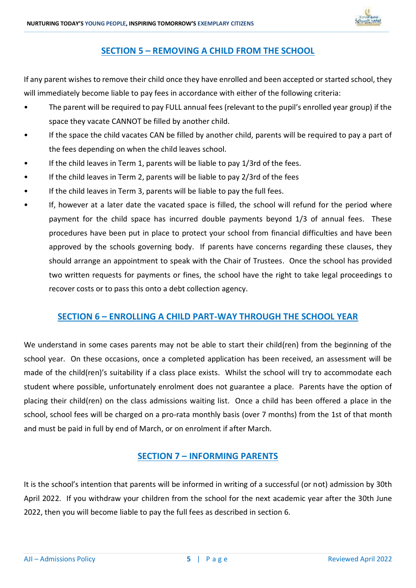

### **SECTION 5 – REMOVING A CHILD FROM THE SCHOOL**

**\_\_\_\_\_\_\_\_\_\_\_\_\_\_\_\_\_\_\_\_\_\_\_\_\_\_\_\_\_\_\_\_\_\_\_\_\_\_\_\_\_\_\_\_\_\_\_\_\_\_\_\_\_\_\_\_\_\_\_\_\_\_\_\_\_\_\_\_\_\_\_\_\_\_\_\_\_\_\_\_\_\_\_\_\_\_\_\_\_\_\_\_\_\_\_\_\_\_\_\_\_\_\_\_\_\_\_\_\_\_\_\_\_\_\_\_\_\_\_\_\_\_\_\_\_\_\_\_\_\_\_\_\_\_\_\_\_\_\_\_\_\_\_\_\_\_\_\_\_\_\_\_\_\_\_\_\_\_\_\_\_\_\_\_\_\_\_\_\_\_\_\_\_\_\_\_\_\_\_\_\_\_\_\_\_\_\_\_\_\_\_\_\_\_\_\_\_\_\_\_\_\_\_\_\_\_\_\_\_\_\_\_\_\_\_\_\_\_\_\_\_\_\_\_\_\_\_\_\_\_\_\_\_\_\_\_\_\_\_\_\_\_\_\_\_\_\_\_\_\_\_\_\_\_\_\_\_\_\_\_\_\_\_\_\_\_\_\_\_\_\_\_\_\_\_\_\_\_\_\_\_\_\_\_\_\_\_\_\_\_\_\_\_\_\_\_\_\_\_\_\_\_\_\_\_\_\_\_\_\_\_\_\_\_\_\_\_\_\_\_\_\_\_\_\_\_\_\_\_\_\_\_\_\_\_\_\_\_\_\_\_\_\_\_\_\_\_\_\_\_**

If any parent wishes to remove their child once they have enrolled and been accepted or started school, they will immediately become liable to pay fees in accordance with either of the following criteria:

- The parent will be required to pay FULL annual fees (relevant to the pupil's enrolled year group) if the space they vacate CANNOT be filled by another child.
- If the space the child vacates CAN be filled by another child, parents will be required to pay a part of the fees depending on when the child leaves school.
- If the child leaves in Term 1, parents will be liable to pay 1/3rd of the fees.
- If the child leaves in Term 2, parents will be liable to pay 2/3rd of the fees
- If the child leaves in Term 3, parents will be liable to pay the full fees.
- If, however at a later date the vacated space is filled, the school will refund for the period where payment for the child space has incurred double payments beyond 1/3 of annual fees. These procedures have been put in place to protect your school from financial difficulties and have been approved by the schools governing body. If parents have concerns regarding these clauses, they should arrange an appointment to speak with the Chair of Trustees. Once the school has provided two written requests for payments or fines, the school have the right to take legal proceedings to recover costs or to pass this onto a debt collection agency.

### **SECTION 6 – ENROLLING A CHILD PART-WAY THROUGH THE SCHOOL YEAR**

We understand in some cases parents may not be able to start their child(ren) from the beginning of the school year. On these occasions, once a completed application has been received, an assessment will be made of the child(ren)'s suitability if a class place exists. Whilst the school will try to accommodate each student where possible, unfortunately enrolment does not guarantee a place. Parents have the option of placing their child(ren) on the class admissions waiting list. Once a child has been offered a place in the school, school fees will be charged on a pro-rata monthly basis (over 7 months) from the 1st of that month and must be paid in full by end of March, or on enrolment if after March.

### **SECTION 7 – INFORMING PARENTS**

It is the school's intention that parents will be informed in writing of a successful (or not) admission by 30th April 2022. If you withdraw your children from the school for the next academic year after the 30th June 2022, then you will become liable to pay the full fees as described in section 6.